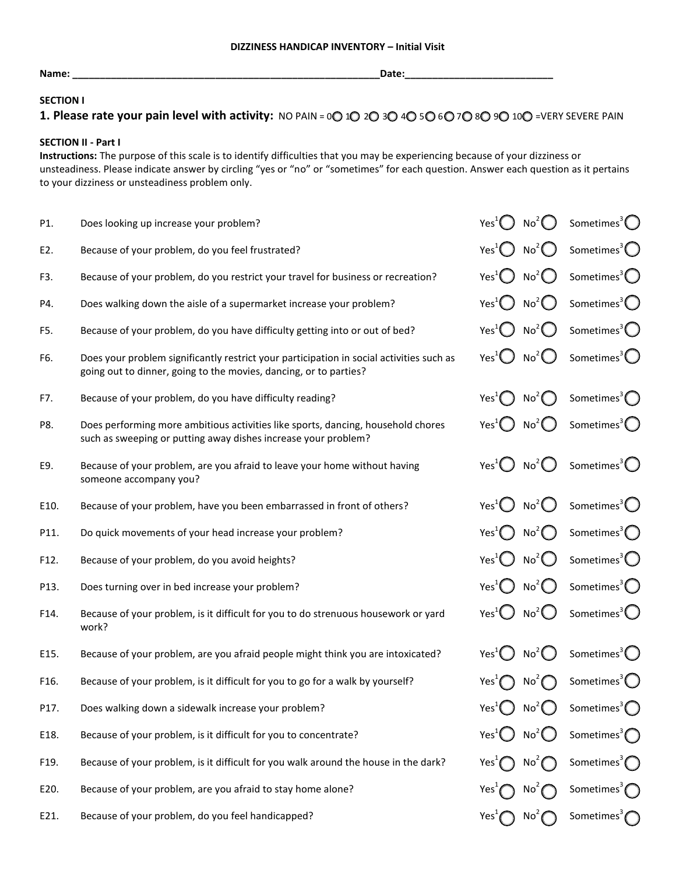**Name: \_\_\_\_\_\_\_\_\_\_\_\_\_\_\_\_\_\_\_\_\_\_\_\_\_\_\_\_\_\_\_\_\_\_\_\_\_\_\_\_\_\_\_\_\_\_\_\_\_\_\_\_\_\_\_\_Date:\_\_\_\_\_\_\_\_\_\_\_\_\_\_\_\_\_\_\_\_\_\_\_\_\_\_\_** 

### **SECTION I**

# **1. Please rate your pain level with activity:** NO PAIN = 00 10 20 30 40 50 60 70 80 90 100 =VERY SEVERE PAIN

## **SECTION II - Part I**

**Instructions:** The purpose of this scale is to identify difficulties that you may be experiencing because of your dizziness or unsteadiness. Please indicate answer by circling "yes or "no" or "sometimes" for each question. Answer each question as it pertains to your dizziness or unsteadiness problem only.

| P1.  | Does looking up increase your problem?                                                                                                                        | Yes <sup>1</sup> $\bigcirc$ No <sup>2</sup> $\bigcirc$ |                                                                  | Sometimes <sup>3</sup> $\bigcirc$                                                        |
|------|---------------------------------------------------------------------------------------------------------------------------------------------------------------|--------------------------------------------------------|------------------------------------------------------------------|------------------------------------------------------------------------------------------|
| E2.  | Because of your problem, do you feel frustrated?                                                                                                              | Yes <sup>1</sup> $\bigcirc$ No <sup>2</sup> $\bigcirc$ |                                                                  | Sometimes <sup>3</sup> $\bigcirc$                                                        |
| F3.  | Because of your problem, do you restrict your travel for business or recreation?                                                                              | Yes <sup>1</sup> $\bigcup$ No <sup>2</sup> $\bigcirc$  |                                                                  | Sometimes <sup>3</sup> $\bigcirc$                                                        |
| P4.  | Does walking down the aisle of a supermarket increase your problem?                                                                                           | Yes <sup>1</sup> $\bigcirc$ No <sup>2</sup> $\bigcirc$ |                                                                  | Sometimes <sup>3</sup> $\bigcirc$                                                        |
| F5.  | Because of your problem, do you have difficulty getting into or out of bed?                                                                                   | Yes <sup>1</sup> $\bigcup$ No <sup>2</sup> $\bigcirc$  |                                                                  | Sometimes <sup>3</sup> $\bigcirc$                                                        |
| F6.  | Does your problem significantly restrict your participation in social activities such as<br>going out to dinner, going to the movies, dancing, or to parties? |                                                        | Yes <sup>1</sup> $\bigcirc$ No <sup>2</sup> $\bigcirc$           | Sometimes <sup>3</sup> $\bigcirc$                                                        |
| F7.  | Because of your problem, do you have difficulty reading?                                                                                                      |                                                        | Yes <sup>1</sup> $\bigcirc$ No <sup>2</sup> $\bigcirc$           | Sometimes <sup>3</sup> $\bigcap$                                                         |
| P8.  | Does performing more ambitious activities like sports, dancing, household chores<br>such as sweeping or putting away dishes increase your problem?            |                                                        | Yes <sup>1</sup> $\bigcirc$ No <sup>2</sup> $\bigcirc$           | Sometimes <sup>3</sup> $\bigcirc$                                                        |
| E9.  | Because of your problem, are you afraid to leave your home without having<br>someone accompany you?                                                           |                                                        | Yes <sup>1</sup> $\bigcirc$ No <sup>2</sup> $\bigcirc$           | Sometimes <sup>3</sup> $\bigcirc$                                                        |
| E10. | Because of your problem, have you been embarrassed in front of others?                                                                                        | Yes <sup>1</sup>                                       | No <sup>2</sup>                                                  | Sometimes <sup>3</sup> $\bigcirc$                                                        |
| P11. | Do quick movements of your head increase your problem?                                                                                                        | Yes <sup>1</sup>                                       | $No^2$                                                           | Sometimes <sup>3</sup> $\bigcirc$                                                        |
| F12. | Because of your problem, do you avoid heights?                                                                                                                | Yes <sup>1</sup>                                       | No <sup>2</sup>                                                  | Sometimes <sup>3</sup> $\bigcirc$                                                        |
| P13. | Does turning over in bed increase your problem?                                                                                                               | Yes <sup>1</sup>                                       | No <sup>2</sup><br>$\left(\begin{array}{c} 1 \end{array}\right)$ | Sometimes <sup>3</sup> $\bigcirc$                                                        |
| F14. | Because of your problem, is it difficult for you to do strenuous housework or yard<br>work?                                                                   | Yes <sup>1</sup> $\bigcup$ No <sup>2</sup> $\bigcirc$  |                                                                  | Sometimes <sup>3</sup> $\bigcup$                                                         |
| E15. | Because of your problem, are you afraid people might think you are intoxicated?                                                                               | Yes <sup>1</sup> $\binom{1}{2}$                        | No <sup>2</sup><br>$\Box$                                        | Sometimes <sup>3</sup> $\bigcirc$                                                        |
| F16. | Because of your problem, is it difficult for you to go for a walk by yourself?                                                                                | Yes <sup>1</sup> $\bigcap$                             | $No^2$                                                           | Sometimes <sup>3</sup> $\bigcirc$                                                        |
| P17. | Does walking down a sidewalk increase your problem?                                                                                                           |                                                        |                                                                  | Yes <sup>1</sup> $\bigcirc$ No <sup>2</sup> $\bigcirc$ Sometimes <sup>3</sup> $\bigcirc$ |
| E18. | Because of your problem, is it difficult for you to concentrate?                                                                                              | Yes <sup>1</sup> $\bigcirc$ No <sup>2</sup> $\bigcirc$ |                                                                  | Sometimes <sup>3</sup> $\bigcap$                                                         |
| F19. | Because of your problem, is it difficult for you walk around the house in the dark?                                                                           | $Yes+$                                                 | No <sup>2</sup>                                                  | Sometimes <sup>3</sup> $\bigcap$                                                         |
| E20. | Because of your problem, are you afraid to stay home alone?                                                                                                   |                                                        | No <sup>2</sup>                                                  | Sometimes <sup>3</sup> $\bigcap$                                                         |
| E21. | Because of your problem, do you feel handicapped?                                                                                                             | Yes <sub>1</sub>                                       | No <sup>2</sup>                                                  | Sometimes <sup>3</sup> $\bigcap$                                                         |